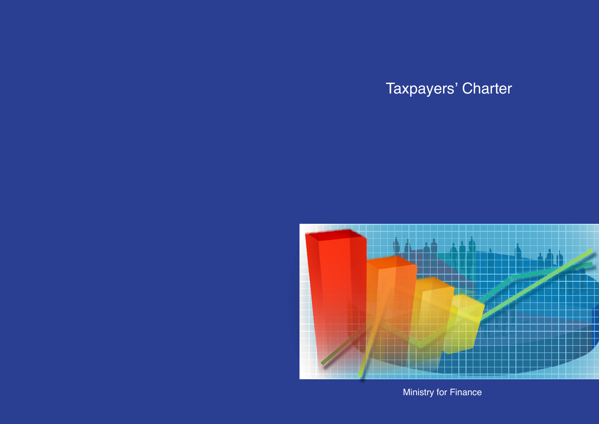# Taxpayers' Charter



Ministry for Finance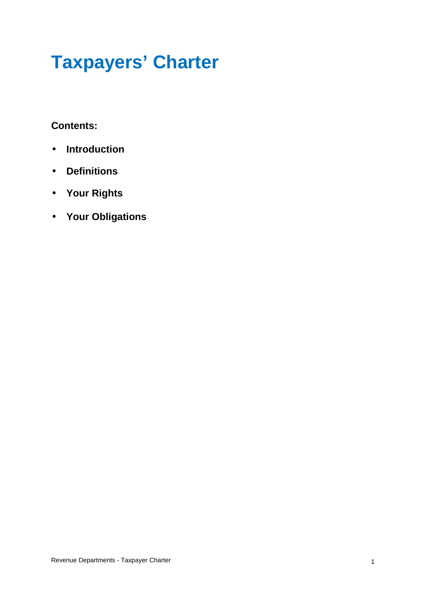## **Taxpayers' Charter**

#### **Contents:**

- **Introduction**
- **Definitions**
- **Your Rights**
- **Your Obligations**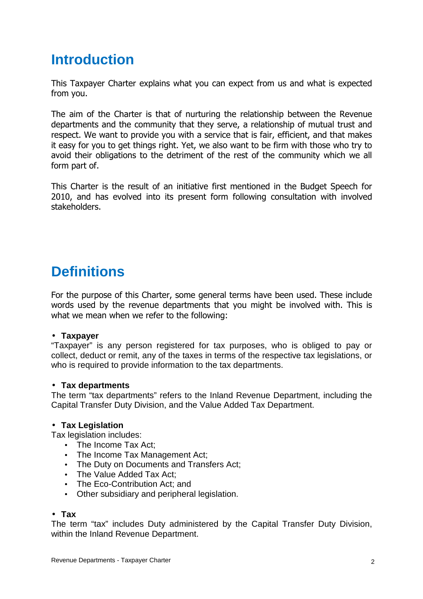## **Introduction**

This Taxpayer Charter explains what you can expect from us and what is expected from you.

The aim of the Charter is that of nurturing the relationship between the Revenue departments and the community that they serve, a relationship of mutual trust and respect. We want to provide you with a service that is fair, efficient, and that makes it easy for you to get things right. Yet, we also want to be firm with those who try to avoid their obligations to the detriment of the rest of the community which we all form part of.

This Charter is the result of an initiative first mentioned in the Budget Speech for 2010, and has evolved into its present form following consultation with involved stakeholders.

## **Definitions**

For the purpose of this Charter, some general terms have been used. These include words used by the revenue departments that you might be involved with. This is what we mean when we refer to the following:

#### • **Taxpayer**

"Taxpayer" is any person registered for tax purposes, who is obliged to pay or collect, deduct or remit, any of the taxes in terms of the respective tax legislations, or who is required to provide information to the tax departments.

#### • **Tax departments**

The term "tax departments" refers to the Inland Revenue Department, including the Capital Transfer Duty Division, and the Value Added Tax Department.

#### • **Tax Legislation**

Tax legislation includes:

- The Income Tax Act:
- The Income Tax Management Act;
- The Duty on Documents and Transfers Act;
- The Value Added Tax Act;
- The Eco-Contribution Act; and
- Other subsidiary and peripheral legislation.

#### • **Tax**

The term "tax" includes Duty administered by the Capital Transfer Duty Division, within the Inland Revenue Department.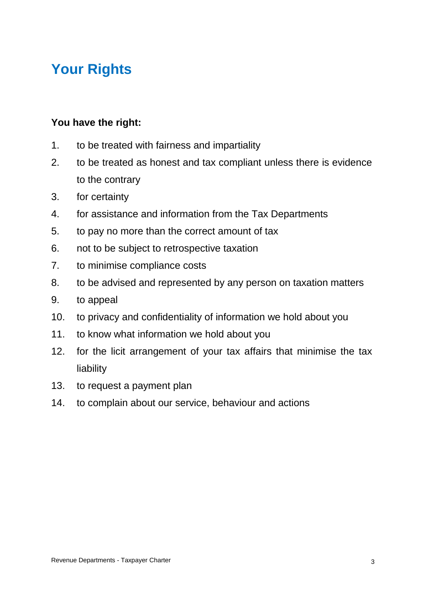## **Your Rights**

#### **You have the right:**

- 1. to be treated with fairness and impartiality
- 2. to be treated as honest and tax compliant unless there is evidence to the contrary
- 3. for certainty
- 4. for assistance and information from the Tax Departments
- 5. to pay no more than the correct amount of tax
- 6. not to be subject to retrospective taxation
- 7. to minimise compliance costs
- 8. to be advised and represented by any person on taxation matters
- 9. to appeal
- 10. to privacy and confidentiality of information we hold about you
- 11. to know what information we hold about you
- 12. for the licit arrangement of your tax affairs that minimise the tax liability
- 13. to request a payment plan
- 14. to complain about our service, behaviour and actions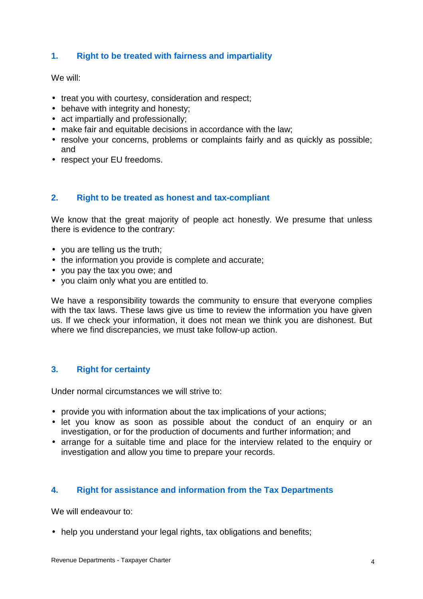#### **1. Right to be treated with fairness and impartiality**

#### We will:

- treat you with courtesy, consideration and respect;
- behave with integrity and honesty;
- act impartially and professionally;
- make fair and equitable decisions in accordance with the law;
- resolve your concerns, problems or complaints fairly and as quickly as possible; and
- respect your EU freedoms.

#### **2. Right to be treated as honest and tax-compliant**

We know that the great majority of people act honestly. We presume that unless there is evidence to the contrary:

- you are telling us the truth;
- the information you provide is complete and accurate;
- you pay the tax you owe; and
- you claim only what you are entitled to.

We have a responsibility towards the community to ensure that everyone complies with the tax laws. These laws give us time to review the information you have given us. If we check your information, it does not mean we think you are dishonest. But where we find discrepancies, we must take follow-up action.

#### **3. Right for certainty**

Under normal circumstances we will strive to:

- provide you with information about the tax implications of your actions;
- let you know as soon as possible about the conduct of an enquiry or an investigation, or for the production of documents and further information; and
- arrange for a suitable time and place for the interview related to the enquiry or investigation and allow you time to prepare your records.

#### **4. Right for assistance and information from the Tax Departments**

We will endeavour to:

• help you understand your legal rights, tax obligations and benefits;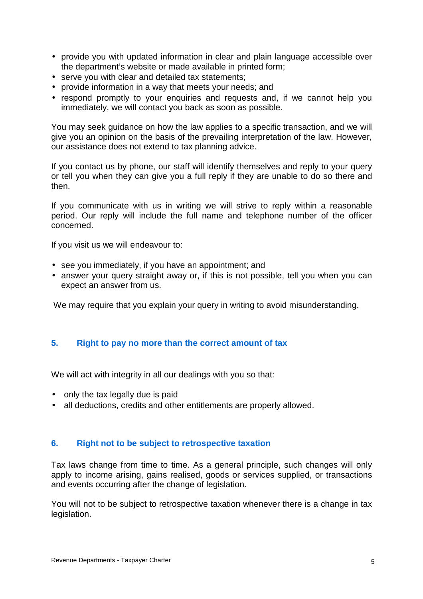- provide you with updated information in clear and plain language accessible over the department's website or made available in printed form;
- serve you with clear and detailed tax statements;
- provide information in a way that meets your needs; and
- respond promptly to your enquiries and requests and, if we cannot help you immediately, we will contact you back as soon as possible.

You may seek guidance on how the law applies to a specific transaction, and we will give you an opinion on the basis of the prevailing interpretation of the law. However, our assistance does not extend to tax planning advice.

If you contact us by phone, our staff will identify themselves and reply to your query or tell you when they can give you a full reply if they are unable to do so there and then.

If you communicate with us in writing we will strive to reply within a reasonable period. Our reply will include the full name and telephone number of the officer concerned.

If you visit us we will endeavour to:

- see you immediately, if you have an appointment; and
- answer your query straight away or, if this is not possible, tell you when you can expect an answer from us.

We may require that you explain your query in writing to avoid misunderstanding.

#### **5. Right to pay no more than the correct amount of tax**

We will act with integrity in all our dealings with you so that:

- only the tax legally due is paid
- all deductions, credits and other entitlements are properly allowed.

#### **6. Right not to be subject to retrospective taxation**

Tax laws change from time to time. As a general principle, such changes will only apply to income arising, gains realised, goods or services supplied, or transactions and events occurring after the change of legislation.

You will not to be subject to retrospective taxation whenever there is a change in tax legislation.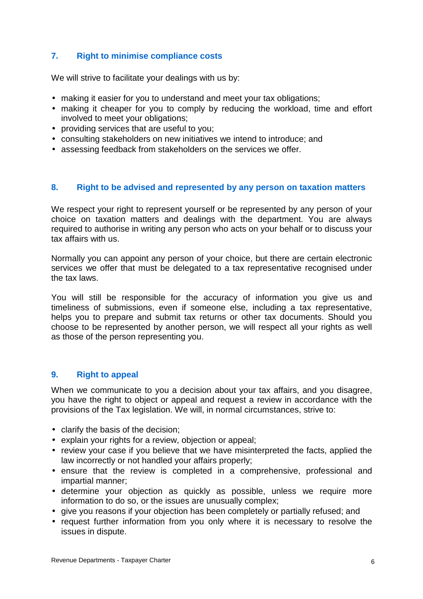#### **7. Right to minimise compliance costs**

We will strive to facilitate your dealings with us by:

- making it easier for you to understand and meet your tax obligations:
- making it cheaper for you to comply by reducing the workload, time and effort involved to meet your obligations;
- providing services that are useful to you;
- consulting stakeholders on new initiatives we intend to introduce; and
- assessing feedback from stakeholders on the services we offer.

#### **8. Right to be advised and represented by any person on taxation matters**

We respect your right to represent yourself or be represented by any person of your choice on taxation matters and dealings with the department. You are always required to authorise in writing any person who acts on your behalf or to discuss your tax affairs with us.

Normally you can appoint any person of your choice, but there are certain electronic services we offer that must be delegated to a tax representative recognised under the tax laws.

You will still be responsible for the accuracy of information you give us and timeliness of submissions, even if someone else, including a tax representative, helps you to prepare and submit tax returns or other tax documents. Should you choose to be represented by another person, we will respect all your rights as well as those of the person representing you.

#### **9. Right to appeal**

When we communicate to you a decision about your tax affairs, and you disagree, you have the right to object or appeal and request a review in accordance with the provisions of the Tax legislation. We will, in normal circumstances, strive to:

- clarify the basis of the decision;
- explain your rights for a review, objection or appeal;
- review your case if you believe that we have misinterpreted the facts, applied the law incorrectly or not handled your affairs properly;
- ensure that the review is completed in a comprehensive, professional and impartial manner;
- determine your objection as quickly as possible, unless we require more information to do so, or the issues are unusually complex;
- give you reasons if your objection has been completely or partially refused; and
- request further information from you only where it is necessary to resolve the issues in dispute.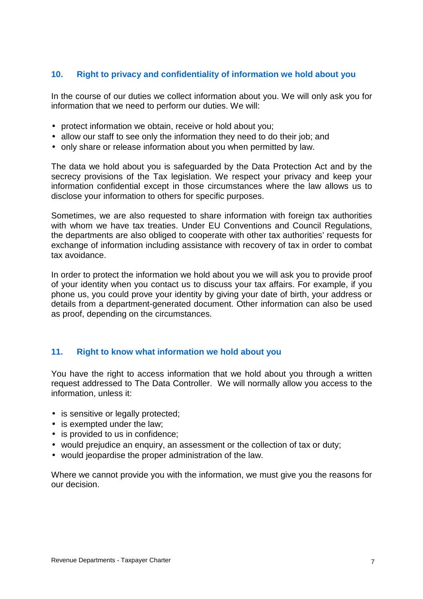#### **10. Right to privacy and confidentiality of information we hold about you**

In the course of our duties we collect information about you. We will only ask you for information that we need to perform our duties. We will:

- protect information we obtain, receive or hold about you;
- allow our staff to see only the information they need to do their job; and
- only share or release information about you when permitted by law.

The data we hold about you is safeguarded by the Data Protection Act and by the secrecy provisions of the Tax legislation. We respect your privacy and keep your information confidential except in those circumstances where the law allows us to disclose your information to others for specific purposes.

Sometimes, we are also requested to share information with foreign tax authorities with whom we have tax treaties. Under EU Conventions and Council Regulations, the departments are also obliged to cooperate with other tax authorities' requests for exchange of information including assistance with recovery of tax in order to combat tax avoidance.

In order to protect the information we hold about you we will ask you to provide proof of your identity when you contact us to discuss your tax affairs. For example, if you phone us, you could prove your identity by giving your date of birth, your address or details from a department-generated document. Other information can also be used as proof, depending on the circumstances.

#### **11. Right to know what information we hold about you**

You have the right to access information that we hold about you through a written request addressed to The Data Controller. We will normally allow you access to the information, unless it:

- is sensitive or legally protected;
- is exempted under the law;
- is provided to us in confidence;
- would prejudice an enquiry, an assessment or the collection of tax or duty;
- would jeopardise the proper administration of the law.

Where we cannot provide you with the information, we must give you the reasons for our decision.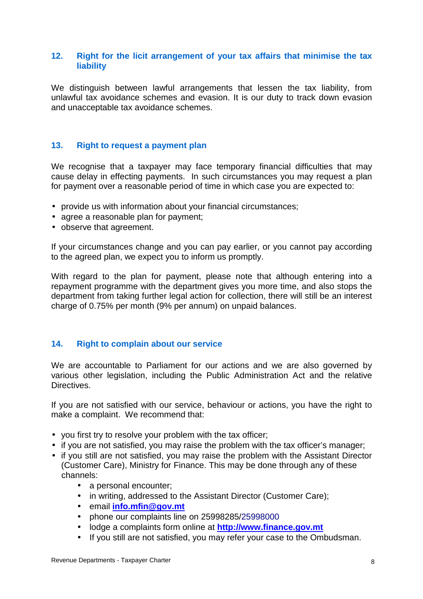#### **12. Right for the licit arrangement of your tax affairs that minimise the tax liability**

We distinguish between lawful arrangements that lessen the tax liability, from unlawful tax avoidance schemes and evasion. It is our duty to track down evasion and unacceptable tax avoidance schemes.

#### **13. Right to request a payment plan**

We recognise that a taxpayer may face temporary financial difficulties that may cause delay in effecting payments. In such circumstances you may request a plan for payment over a reasonable period of time in which case you are expected to:

- provide us with information about your financial circumstances;
- agree a reasonable plan for payment;
- observe that agreement.

If your circumstances change and you can pay earlier, or you cannot pay according to the agreed plan, we expect you to inform us promptly.

With regard to the plan for payment, please note that although entering into a repayment programme with the department gives you more time, and also stops the department from taking further legal action for collection, there will still be an interest charge of 0.75% per month (9% per annum) on unpaid balances.

#### **14. Right to complain about our service**

We are accountable to Parliament for our actions and we are also governed by various other legislation, including the Public Administration Act and the relative Directives.

If you are not satisfied with our service, behaviour or actions, you have the right to make a complaint. We recommend that:

- you first try to resolve your problem with the tax officer;
- if you are not satisfied, you may raise the problem with the tax officer's manager;
- if you still are not satisfied, you may raise the problem with the Assistant Director (Customer Care), Ministry for Finance. This may be done through any of these channels:
	- a personal encounter;
	- in writing, addressed to the Assistant Director (Customer Care);
	- email **info.mfin@gov.mt**
	- phone our complaints line on 25998285/25998000
	- lodge a complaints form online at **http://www.finance.gov.mt**
	- If you still are not satisfied, you may refer your case to the Ombudsman.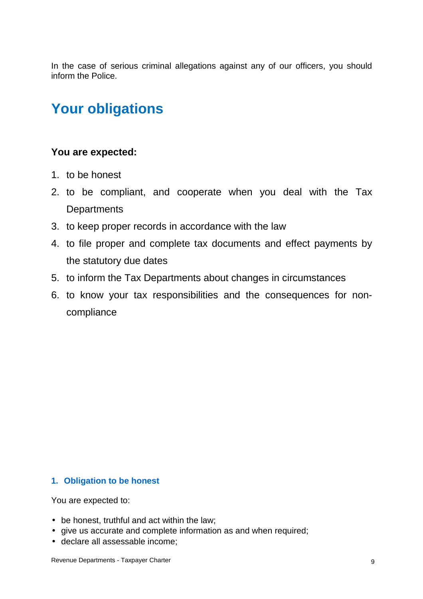In the case of serious criminal allegations against any of our officers, you should inform the Police.

## **Your obligations**

#### **You are expected:**

- 1. to be honest
- 2. to be compliant, and cooperate when you deal with the Tax **Departments**
- 3. to keep proper records in accordance with the law
- 4. to file proper and complete tax documents and effect payments by the statutory due dates
- 5. to inform the Tax Departments about changes in circumstances
- 6. to know your tax responsibilities and the consequences for noncompliance

#### **1. Obligation to be honest**

You are expected to:

- be honest, truthful and act within the law;
- give us accurate and complete information as and when required;
- declare all assessable income;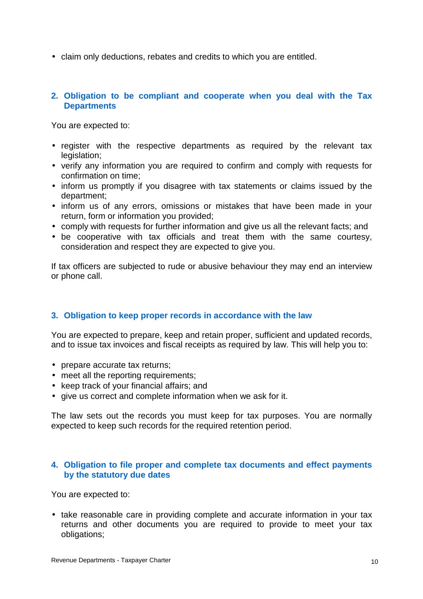• claim only deductions, rebates and credits to which you are entitled.

#### **2. Obligation to be compliant and cooperate when you deal with the Tax Departments**

You are expected to:

- register with the respective departments as required by the relevant tax legislation;
- verify any information you are required to confirm and comply with requests for confirmation on time;
- inform us promptly if you disagree with tax statements or claims issued by the department;
- inform us of any errors, omissions or mistakes that have been made in your return, form or information you provided;
- comply with requests for further information and give us all the relevant facts; and
- be cooperative with tax officials and treat them with the same courtesy, consideration and respect they are expected to give you.

If tax officers are subjected to rude or abusive behaviour they may end an interview or phone call.

#### **3. Obligation to keep proper records in accordance with the law**

You are expected to prepare, keep and retain proper, sufficient and updated records, and to issue tax invoices and fiscal receipts as required by law. This will help you to:

- prepare accurate tax returns;
- meet all the reporting requirements;
- keep track of your financial affairs; and
- give us correct and complete information when we ask for it.

The law sets out the records you must keep for tax purposes. You are normally expected to keep such records for the required retention period.

#### **4. Obligation to file proper and complete tax documents and effect payments by the statutory due dates**

You are expected to:

• take reasonable care in providing complete and accurate information in your tax returns and other documents you are required to provide to meet your tax obligations;